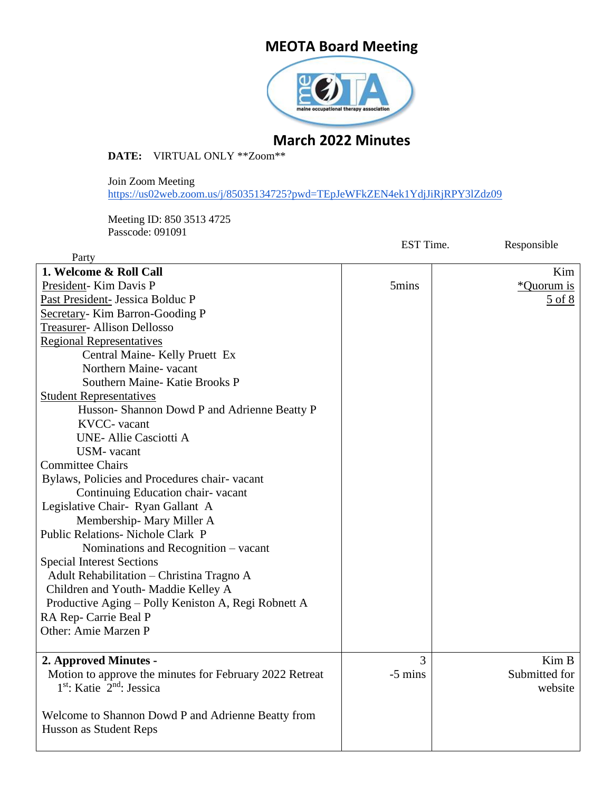# **MEOTA Board Meeting**



# **March 2022 Minutes**

**DATE:** VIRTUAL ONLY \*\*Zoom\*\*

Join Zoom Meeting <https://us02web.zoom.us/j/85035134725?pwd=TEpJeWFkZEN4ek1YdjJiRjRPY3lZdz09>

Meeting ID: 850 3513 4725 Passcode: 091091

|                                                         | EST Time. | Responsible        |
|---------------------------------------------------------|-----------|--------------------|
| Party                                                   |           |                    |
| 1. Welcome & Roll Call                                  |           | Kim                |
| President-Kim Davis P                                   | 5mins     | <i>*</i> Quorum is |
| Past President- Jessica Bolduc P                        |           | 5 of 8             |
| Secretary-Kim Barron-Gooding P                          |           |                    |
| <b>Treasurer-Allison Dellosso</b>                       |           |                    |
| <b>Regional Representatives</b>                         |           |                    |
| Central Maine-Kelly Pruett Ex                           |           |                    |
| Northern Maine- vacant                                  |           |                    |
| Southern Maine-Katie Brooks P                           |           |                    |
| <b>Student Representatives</b>                          |           |                    |
| Husson-Shannon Dowd P and Adrienne Beatty P             |           |                    |
| KVCC- vacant                                            |           |                    |
| UNE- Allie Casciotti A                                  |           |                    |
| <b>USM-</b> vacant                                      |           |                    |
| <b>Committee Chairs</b>                                 |           |                    |
| Bylaws, Policies and Procedures chair-vacant            |           |                    |
| Continuing Education chair-vacant                       |           |                    |
| Legislative Chair- Ryan Gallant A                       |           |                    |
| Membership-Mary Miller A                                |           |                    |
| Public Relations- Nichole Clark P                       |           |                    |
| Nominations and Recognition – vacant                    |           |                    |
| <b>Special Interest Sections</b>                        |           |                    |
| Adult Rehabilitation - Christina Tragno A               |           |                    |
| Children and Youth-Maddie Kelley A                      |           |                    |
| Productive Aging - Polly Keniston A, Regi Robnett A     |           |                    |
| RA Rep- Carrie Beal P                                   |           |                    |
| Other: Amie Marzen P                                    |           |                    |
|                                                         |           |                    |
| 2. Approved Minutes -                                   | 3         | Kim B              |
| Motion to approve the minutes for February 2022 Retreat | $-5$ mins | Submitted for      |
| 1 <sup>st</sup> : Katie 2 <sup>nd</sup> : Jessica       |           | website            |
|                                                         |           |                    |
| Welcome to Shannon Dowd P and Adrienne Beatty from      |           |                    |
| Husson as Student Reps                                  |           |                    |
|                                                         |           |                    |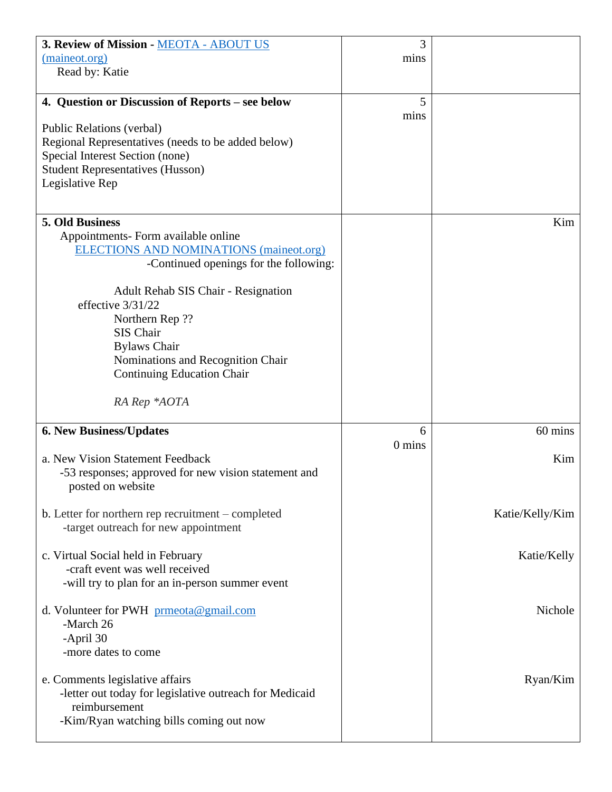| 3. Review of Mission - MEOTA - ABOUT US                                                    | 3        |                 |
|--------------------------------------------------------------------------------------------|----------|-----------------|
| (maineot.org)                                                                              | mins     |                 |
| Read by: Katie                                                                             |          |                 |
|                                                                                            |          |                 |
| 4. Question or Discussion of Reports - see below                                           | 5        |                 |
|                                                                                            | mins     |                 |
| Public Relations (verbal)                                                                  |          |                 |
| Regional Representatives (needs to be added below)                                         |          |                 |
| Special Interest Section (none)                                                            |          |                 |
| <b>Student Representatives (Husson)</b>                                                    |          |                 |
| Legislative Rep                                                                            |          |                 |
|                                                                                            |          |                 |
| 5. Old Business                                                                            |          | Kim             |
| Appointments- Form available online                                                        |          |                 |
| <b>ELECTIONS AND NOMINATIONS (maineot.org)</b>                                             |          |                 |
| -Continued openings for the following:                                                     |          |                 |
|                                                                                            |          |                 |
| <b>Adult Rehab SIS Chair - Resignation</b>                                                 |          |                 |
| effective 3/31/22                                                                          |          |                 |
| Northern Rep ??                                                                            |          |                 |
| SIS Chair                                                                                  |          |                 |
| <b>Bylaws Chair</b>                                                                        |          |                 |
| Nominations and Recognition Chair                                                          |          |                 |
| <b>Continuing Education Chair</b>                                                          |          |                 |
|                                                                                            |          |                 |
|                                                                                            |          |                 |
| RA Rep *AOTA                                                                               |          |                 |
|                                                                                            | 6        | 60 mins         |
| <b>6. New Business/Updates</b>                                                             | $0$ mins |                 |
| a. New Vision Statement Feedback                                                           |          | Kim             |
| -53 responses; approved for new vision statement and                                       |          |                 |
| posted on website                                                                          |          |                 |
|                                                                                            |          |                 |
| b. Letter for northern rep recruitment – completed                                         |          | Katie/Kelly/Kim |
| -target outreach for new appointment                                                       |          |                 |
|                                                                                            |          |                 |
| c. Virtual Social held in February                                                         |          | Katie/Kelly     |
| -craft event was well received                                                             |          |                 |
| -will try to plan for an in-person summer event                                            |          |                 |
|                                                                                            |          |                 |
| d. Volunteer for PWH prmeota@gmail.com                                                     |          | Nichole         |
| -March 26                                                                                  |          |                 |
| -April 30                                                                                  |          |                 |
| -more dates to come                                                                        |          |                 |
|                                                                                            |          |                 |
| e. Comments legislative affairs<br>-letter out today for legislative outreach for Medicaid |          | Ryan/Kim        |
| reimbursement                                                                              |          |                 |
| -Kim/Ryan watching bills coming out now                                                    |          |                 |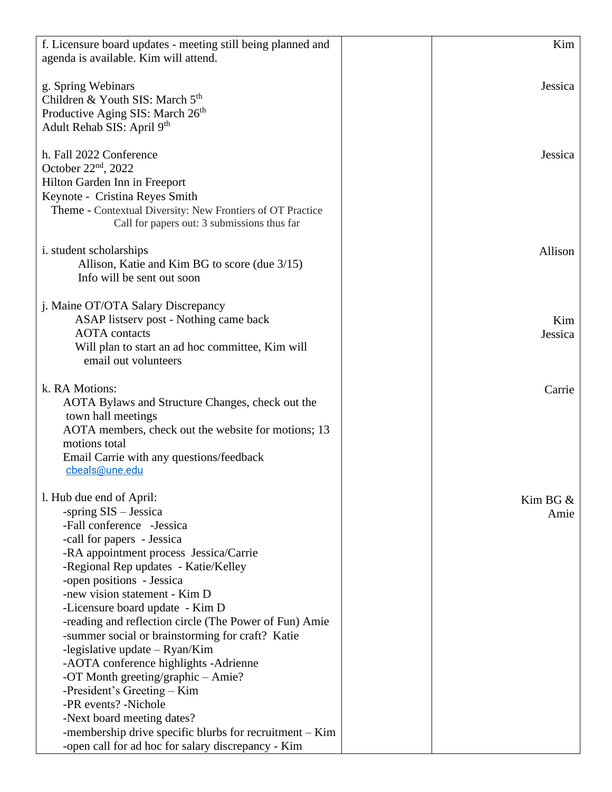| f. Licensure board updates - meeting still being planned and | Kim         |
|--------------------------------------------------------------|-------------|
| agenda is available. Kim will attend.                        |             |
|                                                              |             |
| g. Spring Webinars                                           | Jessica     |
| Children & Youth SIS: March 5 <sup>th</sup>                  |             |
| Productive Aging SIS: March 26 <sup>th</sup>                 |             |
| Adult Rehab SIS: April 9th                                   |             |
|                                                              |             |
| h. Fall 2022 Conference                                      | Jessica     |
| October $22nd$ , 2022                                        |             |
| Hilton Garden Inn in Freeport                                |             |
| Keynote - Cristina Reyes Smith                               |             |
| Theme - Contextual Diversity: New Frontiers of OT Practice   |             |
| Call for papers out: 3 submissions thus far                  |             |
|                                                              |             |
| i. student scholarships                                      | Allison     |
| Allison, Katie and Kim BG to score (due 3/15)                |             |
| Info will be sent out soon                                   |             |
|                                                              |             |
| j. Maine OT/OTA Salary Discrepancy                           |             |
| ASAP listserv post - Nothing came back                       | Kim         |
| <b>AOTA</b> contacts                                         | Jessica     |
| Will plan to start an ad hoc committee, Kim will             |             |
| email out volunteers                                         |             |
|                                                              |             |
| k. RA Motions:                                               | Carrie      |
| AOTA Bylaws and Structure Changes, check out the             |             |
| town hall meetings                                           |             |
| AOTA members, check out the website for motions; 13          |             |
| motions total                                                |             |
| Email Carrie with any questions/feedback                     |             |
| cbeals@une.edu                                               |             |
|                                                              |             |
| l. Hub due end of April:                                     | Kim BG $\&$ |
| -spring $SIS - Jessica$                                      | Amie        |
| -Fall conference -Jessica                                    |             |
| -call for papers - Jessica                                   |             |
| -RA appointment process Jessica/Carrie                       |             |
| -Regional Rep updates - Katie/Kelley                         |             |
| -open positions - Jessica                                    |             |
| -new vision statement - Kim D                                |             |
| -Licensure board update - Kim D                              |             |
| -reading and reflection circle (The Power of Fun) Amie       |             |
| -summer social or brainstorming for craft? Katie             |             |
| -legislative update $-$ Ryan/Kim                             |             |
| -AOTA conference highlights -Adrienne                        |             |
| -OT Month greeting/graphic - Amie?                           |             |
| -President's Greeting – Kim                                  |             |
| -PR events? -Nichole                                         |             |
| -Next board meeting dates?                                   |             |
| -membership drive specific blurbs for recruitment - Kim      |             |
| -open call for ad hoc for salary discrepancy - Kim           |             |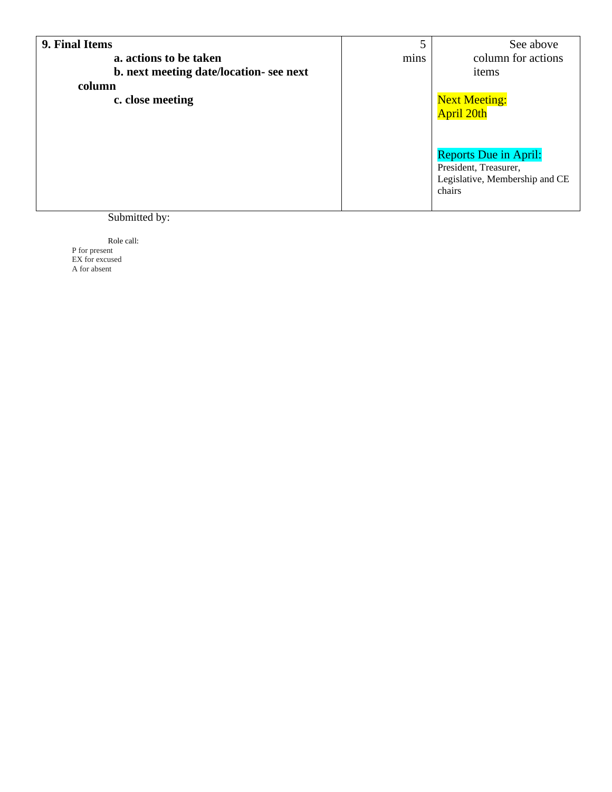| 9. Final Items                          |      | See above                      |
|-----------------------------------------|------|--------------------------------|
| a. actions to be taken                  | mins | column for actions             |
| b. next meeting date/location- see next |      | items                          |
| column                                  |      |                                |
| c. close meeting                        |      | Next Meeting:<br>April 20th    |
|                                         |      |                                |
|                                         |      |                                |
|                                         |      |                                |
|                                         |      | <b>Reports Due in April:</b>   |
|                                         |      | President, Treasurer,          |
|                                         |      | Legislative, Membership and CE |
|                                         |      | chairs                         |
| $0 - 1 - 1$                             |      |                                |

#### Submitted by:

Role call: P for present EX for excused A for absent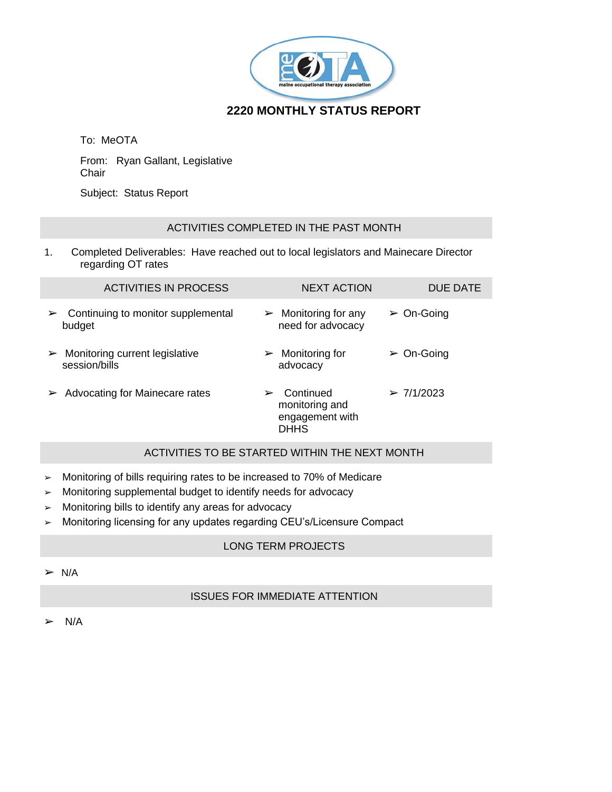

# **2220 MONTHLY STATUS REPORT**

To: MeOTA

From: Ryan Gallant, Legislative Chair

Subject: Status Report

#### ACTIVITIES COMPLETED IN THE PAST MONTH

1. Completed Deliverables: Have reached out to local legislators and Mainecare Director regarding OT rates

| <b>ACTIVITIES IN PROCESS</b>                                             | <b>NEXT ACTION</b>                                                 | DUE DATE                  |
|--------------------------------------------------------------------------|--------------------------------------------------------------------|---------------------------|
| Continuing to monitor supplemental<br>➤<br>budget                        | $\triangleright$ Monitoring for any<br>need for advocacy           | $\triangleright$ On-Going |
| Monitoring current legislative<br>$\blacktriangleright$<br>session/bills | $\triangleright$ Monitoring for<br>advocacy                        | $\triangleright$ On-Going |
| Advocating for Mainecare rates                                           | Continued<br>➤<br>monitoring and<br>engagement with<br><b>DHHS</b> | > 7/1/2023                |

### ACTIVITIES TO BE STARTED WITHIN THE NEXT MONTH

- ➢ Monitoring of bills requiring rates to be increased to 70% of Medicare
- ➢ Monitoring supplemental budget to identify needs for advocacy
- ➢ Monitoring bills to identify any areas for advocacy
- ➢ Monitoring licensing for any updates regarding CEU's/Licensure Compact

#### LONG TERM PROJECTS

 $> N/A$ 

## ISSUES FOR IMMEDIATE ATTENTION

 $> N/A$